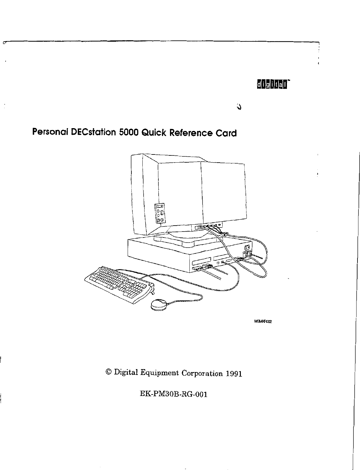## $d$  i giltall

 $\Delta$ 

# Personal DECstation 5000 Quick Reference Card

 $\dot{.}$ 



WSMARR022

© Digital Equipment Corporation 1991

EK-PM30B-RG-001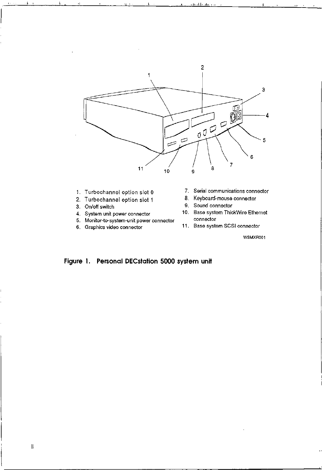

 $41.$ 

- 
- **2.** Turbochannel option slot 1<br>**3.** On/off switch
- 
- 
- 5. Monitor-to-system-unit power connector
- 
- **1.** Turbochannel option slot 0 7. Serial communications connector
	-
	- 9. Sound connector
- **4.** System unit power connector 10. Base system ThickWire Ethernet
- 6. Graphics video connector 11. Base system SCSI connector

WSMXR001

## **Figure 1. Personal DECstation 5000 system unit**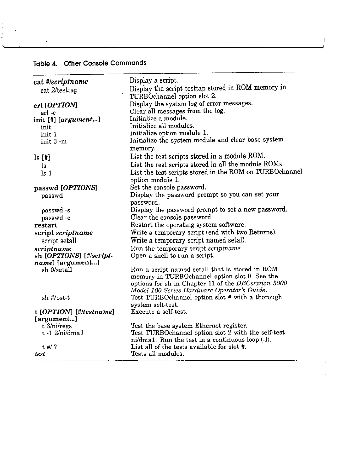## Table 4. Other Console Commands

 $\hat{\mathcal{A}}$ 

 $\bar{z}$ Ŷ,  $\sim$   $\sim$  $\frac{1}{\sigma^2}$ 

 $\bar{1}$ 

 $\bar{a}$ 

 $\sim 1^{\circ}$ 

| cat #/scriptname<br>cat 2/testtap | Display a script.<br>Display the script testtap stored in ROM memory in<br>TURBOchannel option slot 2.                                                                                                 |
|-----------------------------------|--------------------------------------------------------------------------------------------------------------------------------------------------------------------------------------------------------|
| erl [OPTION]                      | Display the system log of error messages.                                                                                                                                                              |
| erl -c                            | Clear all messages from the log.                                                                                                                                                                       |
| $\text{init}$ [#] [argument]      | Initialize a module.                                                                                                                                                                                   |
| init                              | Initialize all modules.                                                                                                                                                                                |
| init 1                            | Initialize option module 1.                                                                                                                                                                            |
| init 3 -m                         | Initialize the system module and clear base system<br>memory.                                                                                                                                          |
| ls[f!]                            | List the test scripts stored in a module ROM.                                                                                                                                                          |
| ls                                | List the test scripts stored in all the module ROMs.                                                                                                                                                   |
| $\lg 1$                           | List the test scripts stored in the ROM on TURBOchannel<br>option module 1.                                                                                                                            |
| passwd [OPTIONS]                  | Set the console password.                                                                                                                                                                              |
| passwd                            | Display the password prompt so you can set your                                                                                                                                                        |
|                                   | password.                                                                                                                                                                                              |
| passwd -s                         | Display the password prompt to set a new password.                                                                                                                                                     |
| passwd-c                          | Clear the console password.                                                                                                                                                                            |
| restart                           | Restart the operating system software.                                                                                                                                                                 |
| script scriptname                 | Write a temporary script (end with two Returns).                                                                                                                                                       |
| script setall                     | Write a temporary script named setall.                                                                                                                                                                 |
| scriptname                        | Run the temporary script scriptname.                                                                                                                                                                   |
| sh [OPTIONS] [#/script-           | Open a shell to run a script.                                                                                                                                                                          |
| name] [argument]                  |                                                                                                                                                                                                        |
| sh 0/setall                       | Run a script named setall that is stored in ROM<br>memory in TURBOchannel option slot 0. See the<br>options for sh in Chapter 11 of the DECstation 5000<br>Model 100 Series Hardware Operator's Guide. |
| sh #/pst-t                        | Test TURBOchannel option slot # with a thorough<br>system self-test.                                                                                                                                   |
| t [OPTION] [#/testname]           | Execute a self-test.                                                                                                                                                                                   |
| [argument]                        |                                                                                                                                                                                                        |
| t 3/ni/regs                       | Test the base system Ethernet register.                                                                                                                                                                |
| $t - 1$ 2/ni/dma1                 | Test TURBOchannel option slot 2 with the self-test<br>ni/dma1. Run the test in a continuous loop (-1).                                                                                                 |
| $t$ #/ ?                          | List all of the tests available for slot #.                                                                                                                                                            |
| test                              | Tests all modules.                                                                                                                                                                                     |

<u> 1980 - Johann Johann Storm, meil am de Storm fan de Storm fan de Storm fan de Storm fan de Storm fan de Stor</u>m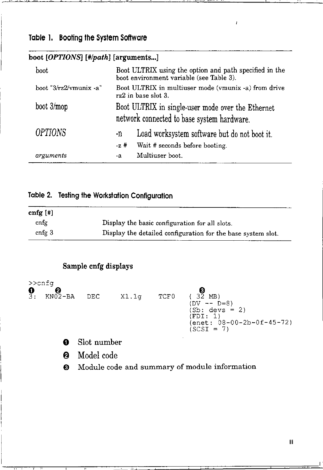## **Table** I. **Booting the System Software**

#### boot boot "3/rz2/vmunix -a" boot 3/mop *OPTIONS arguments*  Boot ULTRIX using the option and path specified in the boot environment variable (see Table 3). Boot ULTRIX in multiuser mode (vmunix -a) from drive rz2 in base slot 3. Boot ULTRIX in single-user mode over the Ethernet network connected to base system hardware. -n Load worksystem software but do not boot it. -z # Wait # seconds before booting. -a Multiuser boot.

Ï

## boot [OPTIONS] [#/path] [arguments...]

## **Table 2. Testing the Workstation Configuration**

| cnfg $[!]$        |                                                              |
|-------------------|--------------------------------------------------------------|
| cnfg              | Display the basic configuration for all slots.               |
| cnfg <sub>3</sub> | Display the detailed configuration for the base system slot. |

## **Sample cnfg displays**

|               | $\geq$ cnfg |             |       |      |                                                                                                                  |
|---------------|-------------|-------------|-------|------|------------------------------------------------------------------------------------------------------------------|
| $\frac{1}{3}$ | $KN02-BA$   | DEC         | X1.1g | TCF0 | $(32 \text{ MB})$<br>$(DV - - D=8)$<br>$(Sb: devs = 2)$<br>(FDI: 1)<br>(enet: 08-00-2b-0f-45-72)<br>$(SCSI = 7)$ |
|               | 0           | Slot number |       |      |                                                                                                                  |
|               |             | Model code  |       |      |                                                                                                                  |

€) Module code and summary of module information

I.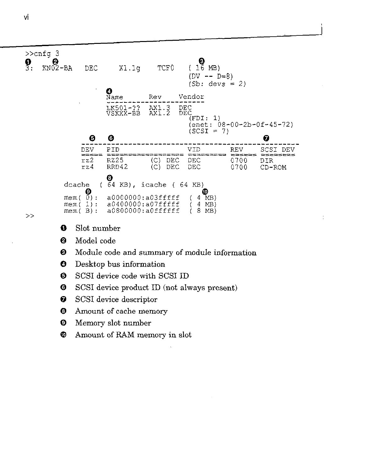

- >>
- **0** Slot number
- **6** Model code
- **0** Module code and summary of module information

÷

- **Q** Desktop bus information
- **0** SCSI device code with SCSI ID
- @ SCSI device product ID (not always present)
- **f)** SCSI device descriptor
- **0** Amount of cache memory
- **Ci)** Memory slot number
- **e** Amount of RAM memory in slot